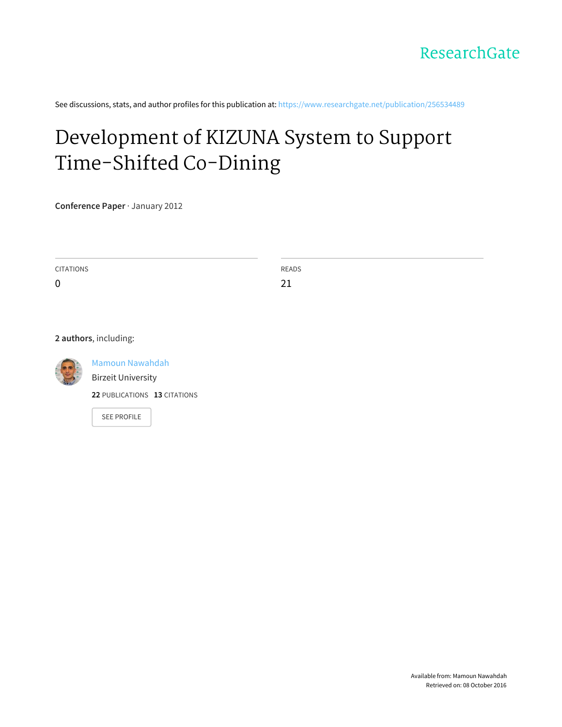

See discussions, stats, and author profiles for this publication at: [https://www.researchgate.net/publication/256534489](https://www.researchgate.net/publication/256534489_Development_of_KIZUNA_System_to_Support_Time-Shifted_Co-Dining?enrichId=rgreq-370d63f236073b587a88d5ca06b46920-XXX&enrichSource=Y292ZXJQYWdlOzI1NjUzNDQ4OTtBUzoxNzE0NTkyNTUyMTgxNzZAMTQxNzg5MDQ4MDAyOQ%3D%3D&el=1_x_2)

## Development of KIZUNA System to Support [Time-Shifted](https://www.researchgate.net/publication/256534489_Development_of_KIZUNA_System_to_Support_Time-Shifted_Co-Dining?enrichId=rgreq-370d63f236073b587a88d5ca06b46920-XXX&enrichSource=Y292ZXJQYWdlOzI1NjUzNDQ4OTtBUzoxNzE0NTkyNTUyMTgxNzZAMTQxNzg5MDQ4MDAyOQ%3D%3D&el=1_x_3) Co-Dining

**Conference Paper** · January 2012

CITATIONS 0 READS 21

**2 authors**, including:



Mamoun [Nawahdah](https://www.researchgate.net/profile/Mamoun_Nawahdah?enrichId=rgreq-370d63f236073b587a88d5ca06b46920-XXX&enrichSource=Y292ZXJQYWdlOzI1NjUzNDQ4OTtBUzoxNzE0NTkyNTUyMTgxNzZAMTQxNzg5MDQ4MDAyOQ%3D%3D&el=1_x_5) Birzeit [University](https://www.researchgate.net/institution/Birzeit_University?enrichId=rgreq-370d63f236073b587a88d5ca06b46920-XXX&enrichSource=Y292ZXJQYWdlOzI1NjUzNDQ4OTtBUzoxNzE0NTkyNTUyMTgxNzZAMTQxNzg5MDQ4MDAyOQ%3D%3D&el=1_x_6)

**22** PUBLICATIONS **13** CITATIONS

SEE [PROFILE](https://www.researchgate.net/profile/Mamoun_Nawahdah?enrichId=rgreq-370d63f236073b587a88d5ca06b46920-XXX&enrichSource=Y292ZXJQYWdlOzI1NjUzNDQ4OTtBUzoxNzE0NTkyNTUyMTgxNzZAMTQxNzg5MDQ4MDAyOQ%3D%3D&el=1_x_7)

Available from: Mamoun Nawahdah Retrieved on: 08 October 2016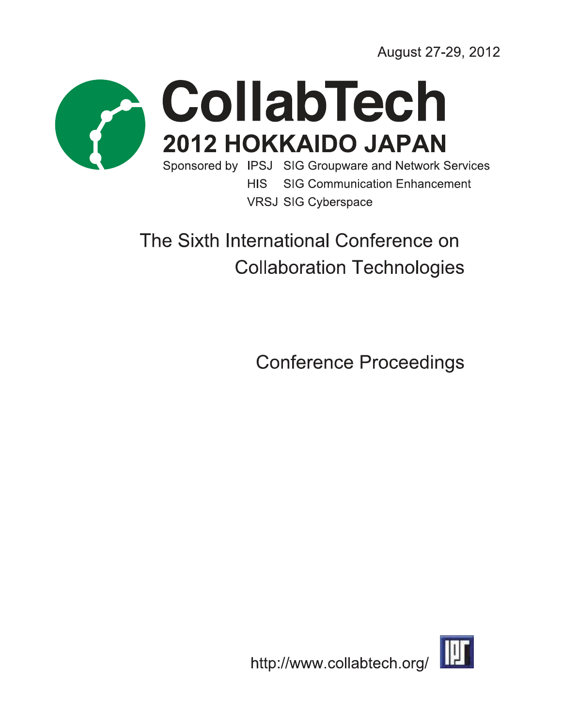August 27-29, 2012



# CollabTech 2012 HOKKAIDO JAPAN

Sponsored by IPSJ SIG Groupware and Network Services **HIS SIG Communication Enhancement VRSJ SIG Cyberspace** 

## The Sixth International Conference on **Collaboration Technologies**

**Conference Proceedings** 

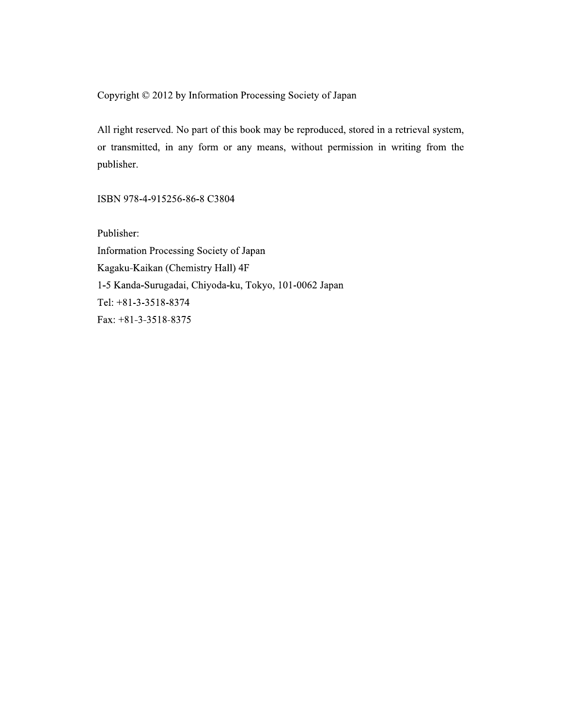Copyright © 2012 by Information Processing Society of Japan

All right reserved. No part of this book may be reproduced, stored in a retrieval system, or transmitted, in any form or any means, without permission in writing from the publisher.

ISBN 978-4-915256-86-8 C3804

Publisher: Information Processing Society of Japan Kagaku-Kaikan (Chemistry Hall) 4F 1-5 Kanda-Surugadai, Chiyoda-ku, Tokyo, 101-0062 Japan Tel: +81-3-3518-8374 Fax:  $+81-3-3518-8375$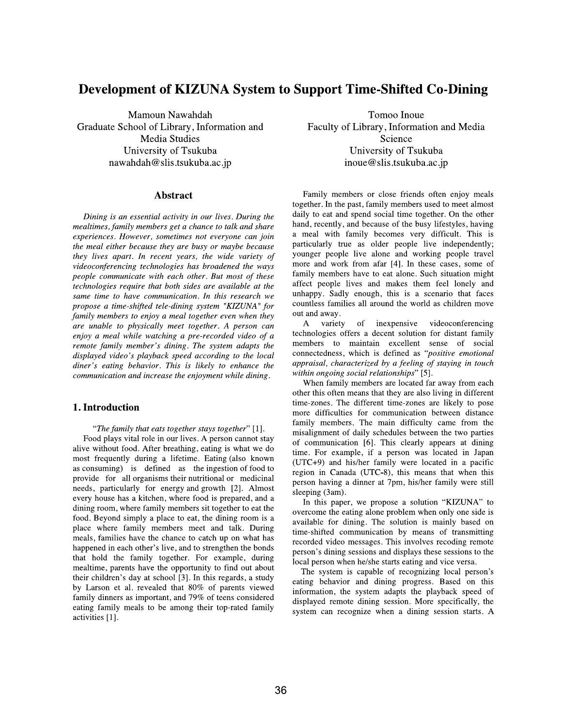### Development of KIZUNA System to Support Time-Shifted Co-Dining

Mamoun Nawahdah Graduate School of Library, Information and **Media Studies** University of Tsukuba nawahdah@slis.tsukuba.ac.jp

#### **Abstract**

Dining is an essential activity in our lives. During the mealtimes, family members get a chance to talk and share experiences. However, sometimes not everyone can join the meal either because they are busy or maybe because they lives apart. In recent years, the wide variety of videoconferencing technologies has broadened the ways people communicate with each other. But most of these technologies require that both sides are available at the same time to have communication. In this research we propose a time-shifted tele-dining system "KIZUNA" for family members to enjoy a meal together even when they are unable to physically meet together. A person can enjoy a meal while watching a pre-recorded video of a remote family member's dining. The system adapts the displayed video's playback speed according to the local diner's eating behavior. This is likely to enhance the communication and increase the enjoyment while dining.

#### 1. Introduction

"The family that eats together stays together" [1].

Food plays vital role in our lives. A person cannot stay alive without food. After breathing, eating is what we do most frequently during a lifetime. Eating (also known as consuming) is defined as the ingestion of food to provide for all organisms their nutritional or medicinal needs, particularly for energy and growth [2]. Almost every house has a kitchen, where food is prepared, and a dining room, where family members sit together to eat the food. Beyond simply a place to eat, the dining room is a place where family members meet and talk. During meals, families have the chance to catch up on what has happened in each other's live, and to strengthen the bonds that hold the family together. For example, during mealtime, parents have the opportunity to find out about their children's day at school [3]. In this regards, a study by Larson et al. revealed that 80% of parents viewed family dinners as important, and 79% of teens considered eating family meals to be among their top-rated family activities [1].

Tomoo Inoue Faculty of Library, Information and Media Science University of Tsukuba inoue@slis.tsukuba.ac.jp

Family members or close friends often enjoy meals together. In the past, family members used to meet almost daily to eat and spend social time together. On the other hand, recently, and because of the busy lifestyles, having a meal with family becomes very difficult. This is particularly true as older people live independently; younger people live alone and working people travel more and work from afar [4]. In these cases, some of family members have to eat alone. Such situation might affect people lives and makes them feel lonely and unhappy. Sadly enough, this is a scenario that faces countless families all around the world as children move out and away.

A variety of inexpensive videoconferencing technologies offers a decent solution for distant family members to maintain excellent sense of social connectedness, which is defined as "positive emotional appraisal, characterized by a feeling of staying in touch within ongoing social relationships" [5].

When family members are located far away from each other this often means that they are also living in different time-zones. The different time-zones are likely to pose more difficulties for communication between distance family members. The main difficulty came from the misalignment of daily schedules between the two parties of communication [6]. This clearly appears at dining time. For example, if a person was located in Japan (UTC+9) and his/her family were located in a pacific region in Canada (UTC-8), this means that when this person having a dinner at 7pm, his/her family were still sleeping (3am).

In this paper, we propose a solution "KIZUNA" to overcome the eating alone problem when only one side is available for dining. The solution is mainly based on time-shifted communication by means of transmitting recorded video messages. This involves recoding remote person's dining sessions and displays these sessions to the local person when he/she starts eating and vice versa.

The system is capable of recognizing local person's eating behavior and dining progress. Based on this information, the system adapts the playback speed of displayed remote dining session. More specifically, the system can recognize when a dining session starts. A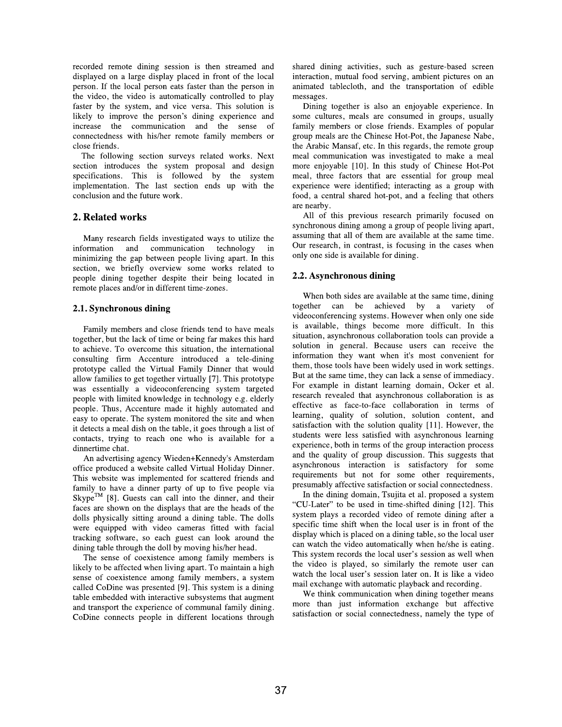recorded remote dining session is then streamed and displayed on a large display placed in front of the local person. If the local person eats faster than the person in the video, the video is automatically controlled to play faster by the system, and vice versa. This solution is likely to improve the person's dining experience and increase the communication and the sense  $\alpha$ f connectedness with his/her remote family members or close friends.

The following section surveys related works. Next section introduces the system proposal and design specifications. This is followed by the system implementation. The last section ends up with the conclusion and the future work.

#### 2. Related works

Many research fields investigated ways to utilize the information and communication technology in minimizing the gap between people living apart. In this section, we briefly overview some works related to people dining together despite their being located in remote places and/or in different time-zones.

#### 2.1. Synchronous dining

Family members and close friends tend to have meals together, but the lack of time or being far makes this hard to achieve. To overcome this situation, the international consulting firm Accenture introduced a tele-dining prototype called the Virtual Family Dinner that would allow families to get together virtually [7]. This prototype was essentially a videoconferencing system targeted people with limited knowledge in technology e.g. elderly people. Thus, Accenture made it highly automated and easy to operate. The system monitored the site and when it detects a meal dish on the table, it goes through a list of contacts, trying to reach one who is available for a dinnertime chat.

An advertising agency Wieden+Kennedy's Amsterdam office produced a website called Virtual Holiday Dinner. This website was implemented for scattered friends and family to have a dinner party of up to five people via  $Skype^{TM}$  [8]. Guests can call into the dinner, and their faces are shown on the displays that are the heads of the dolls physically sitting around a dining table. The dolls were equipped with video cameras fitted with facial tracking software, so each guest can look around the dining table through the doll by moving his/her head.

The sense of coexistence among family members is likely to be affected when living apart. To maintain a high sense of coexistence among family members, a system called CoDine was presented [9]. This system is a dining table embedded with interactive subsystems that augment and transport the experience of communal family dining. CoDine connects people in different locations through shared dining activities, such as gesture-based screen interaction, mutual food serving, ambient pictures on an animated tablecloth, and the transportation of edible messages.

Dining together is also an enjoyable experience. In some cultures, meals are consumed in groups, usually family members or close friends. Examples of popular group meals are the Chinese Hot-Pot, the Japanese Nabe, the Arabic Mansaf, etc. In this regards, the remote group meal communication was investigated to make a meal more enjoyable [10]. In this study of Chinese Hot-Pot meal, three factors that are essential for group meal experience were identified; interacting as a group with food, a central shared hot-pot, and a feeling that others are nearby.

All of this previous research primarily focused on synchronous dining among a group of people living apart, assuming that all of them are available at the same time. Our research, in contrast, is focusing in the cases when only one side is available for dining.

#### 2.2. Asynchronous dining

When both sides are available at the same time, dining together can be achieved by a variety -of videoconferencing systems. However when only one side is available, things become more difficult. In this situation, asynchronous collaboration tools can provide a solution in general. Because users can receive the information they want when it's most convenient for them, those tools have been widely used in work settings. But at the same time, they can lack a sense of immediacy. For example in distant learning domain, Ocker et al. research revealed that asynchronous collaboration is as effective as face-to-face collaboration in terms of learning, quality of solution, solution content, and satisfaction with the solution quality [11]. However, the students were less satisfied with asynchronous learning experience, both in terms of the group interaction process and the quality of group discussion. This suggests that asynchronous interaction is satisfactory for some requirements but not for some other requirements, presumably affective satisfaction or social connectedness.

In the dining domain, Tsujita et al. proposed a system "CU-Later" to be used in time-shifted dining [12]. This system plays a recorded video of remote dining after a specific time shift when the local user is in front of the display which is placed on a dining table, so the local user can watch the video automatically when he/she is eating. This system records the local user's session as well when the video is played, so similarly the remote user can watch the local user's session later on. It is like a video mail exchange with automatic playback and recording.

We think communication when dining together means more than just information exchange but affective satisfaction or social connectedness, namely the type of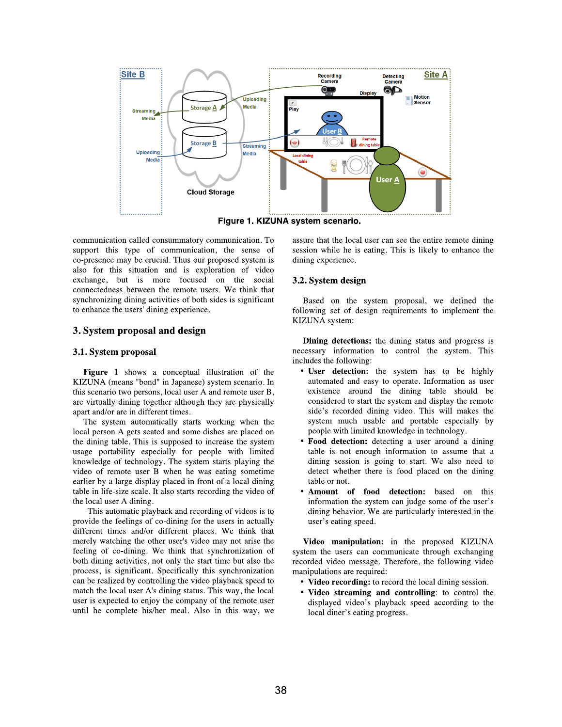

communication called consummatory communication. To support this type of communication, the sense of co-presence may be crucial. Thus our proposed system is also for this situation and is exploration of video exchange, but is more focused on the social connectedness between the remote users. We think that synchronizing dining activities of both sides is significant to enhance the users' dining experience.

#### 3. System proposal and design

#### 3.1. System proposal

Figure 1 shows a conceptual illustration of the KIZUNA (means "bond" in Japanese) system scenario. In this scenario two persons, local user A and remote user B, are virtually dining together although they are physically apart and/or are in different times.

The system automatically starts working when the local person A gets seated and some dishes are placed on the dining table. This is supposed to increase the system usage portability especially for people with limited knowledge of technology. The system starts playing the video of remote user B when he was eating sometime earlier by a large display placed in front of a local dining table in life-size scale. It also starts recording the video of the local user A dining.

This automatic playback and recording of videos is to provide the feelings of co-dining for the users in actually different times and/or different places. We think that merely watching the other user's video may not arise the feeling of co-dining. We think that synchronization of both dining activities, not only the start time but also the process, is significant. Specifically this synchronization can be realized by controlling the video playback speed to match the local user A's dining status. This way, the local user is expected to enjoy the company of the remote user until he complete his/her meal. Also in this way, we

assure that the local user can see the entire remote dining session while he is eating. This is likely to enhance the dining experience.

#### 3.2. System design

Based on the system proposal, we defined the following set of design requirements to implement the KIZUNA system:

**Dining detections:** the dining status and progress is necessary information to control the system. This includes the following:

- User detection: the system has to be highly automated and easy to operate. Information as user existence around the dining table should be considered to start the system and display the remote side's recorded dining video. This will makes the system much usable and portable especially by people with limited knowledge in technology.
- Food detection: detecting a user around a dining table is not enough information to assume that a dining session is going to start. We also need to detect whether there is food placed on the dining table or not.
- Amount of food detection: based on this information the system can judge some of the user's dining behavior. We are particularly interested in the user's eating speed.

Video manipulation: in the proposed KIZUNA system the users can communicate through exchanging recorded video message. Therefore, the following video manipulations are required:

- Video recording: to record the local dining session.
- Video streaming and controlling: to control the displayed video's playback speed according to the local diner's eating progress.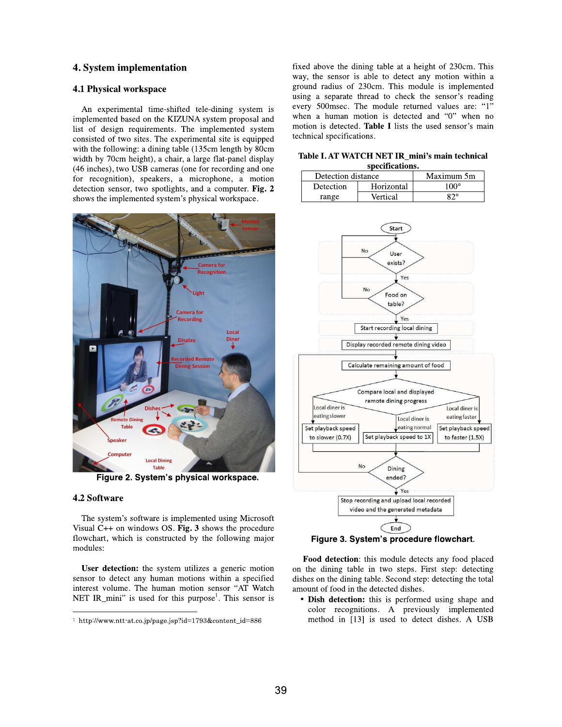#### **4. System implementation**

#### **4.1 Physical workspace**

An experimental time-shifted tele-dining system is implemented based on the KIZUNA system proposal and list of design requirements. The implemented system consisted of two sites. The experimental site is equipped with the following: a dining table (135cm length by 80cm width by 70cm height), a chair, a large flat-panel display (46 inches), two USB cameras (one for recording and one for recognition), speakers, a microphone, a motion detection sensor, two spotlights, and a computer. Fig. 2 shows the implemented system's physical workspace.



Figure 2. System's physical workspace.

#### **4.2 Software**

The system's software is implemented using Microsoft Visual  $C++$  on windows OS. Fig. 3 shows the procedure flowchart, which is constructed by the following major modules:

User detection: the system utilizes a generic motion sensor to detect any human motions within a specified interest volume. The human motion sensor "AT Watch NET IR\_mini" is used for this purpose<sup>1</sup>. This sensor is fixed above the dining table at a height of 230cm. This way, the sensor is able to detect any motion within a ground radius of 230cm. This module is implemented using a separate thread to check the sensor's reading every 500msec. The module returned values are: "1" when a human motion is detected and "0" when no motion is detected. Table I lists the used sensor's main technical specifications.

Table I. AT WATCH NET IR\_mini's main technical enecificatione

| ,,,,,,,,,,,,,,,,,, |            |            |  |  |  |
|--------------------|------------|------------|--|--|--|
| Detection distance |            | Maximum 5m |  |  |  |
| <b>Detection</b>   | Horizontal | 100°       |  |  |  |
| range              | Vertical   | ହ ୨୦       |  |  |  |



Figure 3. System's procedure flowchart.

Food detection: this module detects any food placed on the dining table in two steps. First step: detecting dishes on the dining table. Second step: detecting the total amount of food in the detected dishes.

• Dish detection: this is performed using shape and color recognitions. A previously implemented method in [13] is used to detect dishes. A USB

<sup>1</sup> http://www.ntt-at.co.jp/page.jsp?id=1793&content\_id=886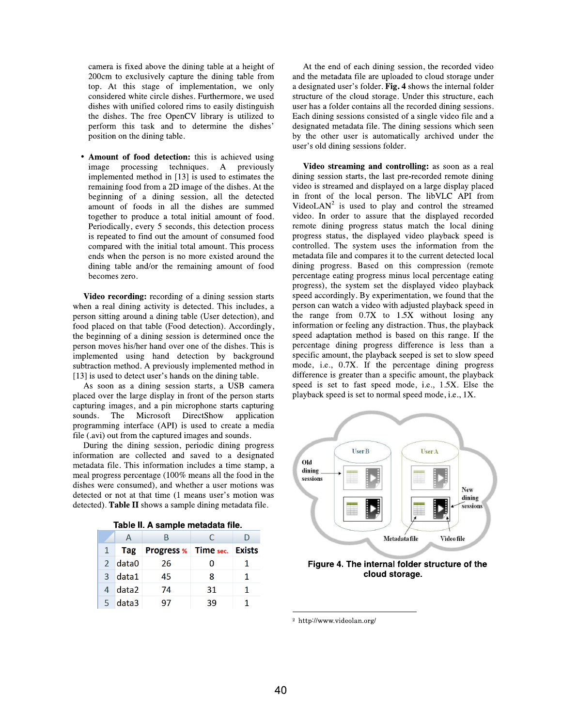camera is fixed above the dining table at a height of 200cm to exclusively capture the dining table from top. At this stage of implementation, we only considered white circle dishes. Furthermore, we used dishes with unified colored rims to easily distinguish the dishes. The free OpenCV library is utilized to perform this task and to determine the dishes' position on the dining table.

• Amount of food detection: this is achieved using image processing techniques. A previously implemented method in [13] is used to estimates the remaining food from a 2D image of the dishes. At the beginning of a dining session, all the detected amount of foods in all the dishes are summed together to produce a total initial amount of food. Periodically, every 5 seconds, this detection process is repeated to find out the amount of consumed food compared with the initial total amount. This process ends when the person is no more existed around the dining table and/or the remaining amount of food becomes zero.

Video recording: recording of a dining session starts when a real dining activity is detected. This includes, a person sitting around a dining table (User detection), and food placed on that table (Food detection). Accordingly, the beginning of a dining session is determined once the person moves his/her hand over one of the dishes. This is implemented using hand detection by background subtraction method. A previously implemented method in [13] is used to detect user's hands on the dining table.

As soon as a dining session starts, a USB camera placed over the large display in front of the person starts capturing images, and a pin microphone starts capturing The Microsoft DirectShow sounds. application programming interface (API) is used to create a media file (.avi) out from the captured images and sounds.

During the dining session, periodic dining progress information are collected and saved to a designated metadata file. This information includes a time stamp, a meal progress percentage (100% means all the food in the dishes were consumed), and whether a user motions was detected or not at that time (1 means user's motion was detected). Table II shows a sample dining metadata file.

|  | А         |                                    | C  |  |  |  |
|--|-----------|------------------------------------|----|--|--|--|
|  | $1$ Tag   | <b>Progress % Time sec. Exists</b> |    |  |  |  |
|  | $2$ data0 | 26                                 |    |  |  |  |
|  | 3 data1   | 45                                 | 8  |  |  |  |
|  | 4 data2   | 74                                 | 31 |  |  |  |
|  | 5 data3   | 97                                 | 39 |  |  |  |

Table II A sample metadata file

At the end of each dining session, the recorded video and the metadata file are uploaded to cloud storage under a designated user's folder. Fig. 4 shows the internal folder structure of the cloud storage. Under this structure, each user has a folder contains all the recorded dining sessions. Each dining sessions consisted of a single video file and a designated metadata file. The dining sessions which seen by the other user is automatically archived under the user's old dining sessions folder.

Video streaming and controlling: as soon as a real dining session starts, the last pre-recorded remote dining video is streamed and displayed on a large display placed in front of the local person. The libVLC API from VideoLAN<sup>2</sup> is used to play and control the streamed video. In order to assure that the displayed recorded remote dining progress status match the local dining progress status, the displayed video playback speed is controlled. The system uses the information from the metadata file and compares it to the current detected local dining progress. Based on this compression (remote percentage eating progress minus local percentage eating progress), the system set the displayed video playback speed accordingly. By experimentation, we found that the person can watch a video with adjusted playback speed in the range from  $0.7X$  to  $1.5X$  without losing any information or feeling any distraction. Thus, the playback speed adaptation method is based on this range. If the percentage dining progress difference is less than a specific amount, the playback seeped is set to slow speed mode, i.e., 0.7X. If the percentage dining progress difference is greater than a specific amount, the playback speed is set to fast speed mode, i.e., 1.5X. Else the playback speed is set to normal speed mode, i.e., 1X.



#### Figure 4. The internal folder structure of the cloud storage.

<sup>&</sup>lt;sup>2</sup> http://www.videolan.org/